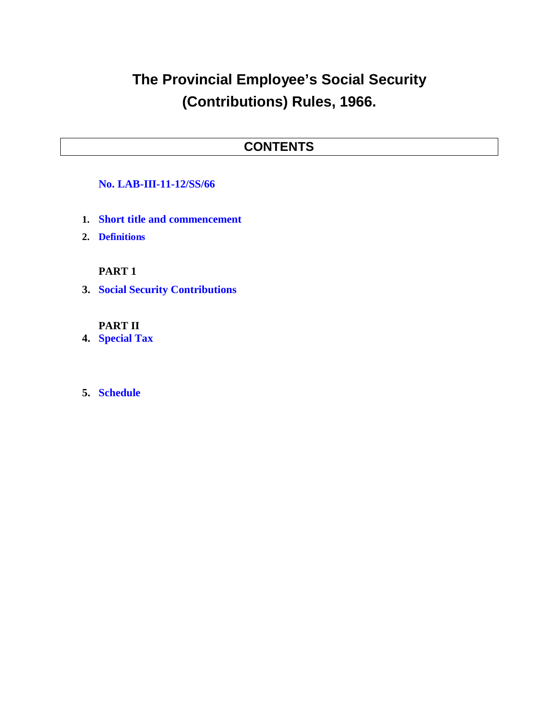# **The Provincial Employee's Social Security (Contributions) Rules, 1966.**

### **CONTENTS**

#### **No. LAB-III-11-12/SS/66**

- **1. Short title and commencement**
- **2. Definitions**

#### **PART 1**

**3. Social Security Contributions**

#### **PART II**

**4. Special Tax**

#### **5. Schedule**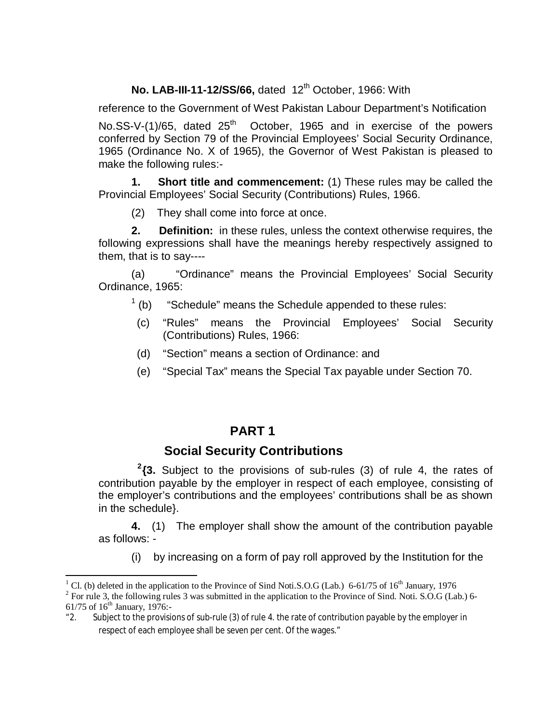### **No. LAB-III-11-12/SS/66, dated 12<sup>th</sup> October, 1966: With**

reference to the Government of West Pakistan Labour Department's Notification

No.SS-V-(1)/65, dated  $25<sup>th</sup>$  October, 1965 and in exercise of the powers conferred by Section 79 of the Provincial Employees' Social Security Ordinance, 1965 (Ordinance No. X of 1965), the Governor of West Pakistan is pleased to make the following rules:-

**1. Short title and commencement:** (1) These rules may be called the Provincial Employees' Social Security (Contributions) Rules, 1966.

(2) They shall come into force at once.

**2. Definition:** in these rules, unless the context otherwise requires, the following expressions shall have the meanings hereby respectively assigned to them, that is to say----

(a) "Ordinance" means the Provincial Employees' Social Security Ordinance, 1965:

- $(1)$ "Schedule" means the Schedule appended to these rules:
- (c) "Rules" means the Provincial Employees' Social Security (Contributions) Rules, 1966:
- (d) "Section" means a section of Ordinance: and
- (e) "Special Tax" means the Special Tax payable under Section 70.

### **PART 1**

#### **Social Security Contributions**

**2 {3.** Subject to the provisions of sub-rules (3) of rule 4, the rates of contribution payable by the employer in respect of each employee, consisting of the employer's contributions and the employees' contributions shall be as shown in the schedule}.

**4.** (1) The employer shall show the amount of the contribution payable as follows: -

(i) by increasing on a form of pay roll approved by the Institution for the

 $\overline{a}$ 

<sup>&</sup>lt;sup>1</sup> Cl. (b) deleted in the application to the Province of Sind Noti.S.O.G (Lab.) 6-61/75 of 16<sup>th</sup> January, 1976

<sup>&</sup>lt;sup>2</sup> For rule 3, the following rules 3 was submitted in the application to the Province of Sind. Noti. S.O.G (Lab.) 6-61/75 of  $16^{th}$  January, 1976:-

<sup>&</sup>quot;2. Subject to the provisions of sub-rule (3) of rule 4. the rate of contribution payable by the employer in respect of each employee shall be seven per cent. Of the wages."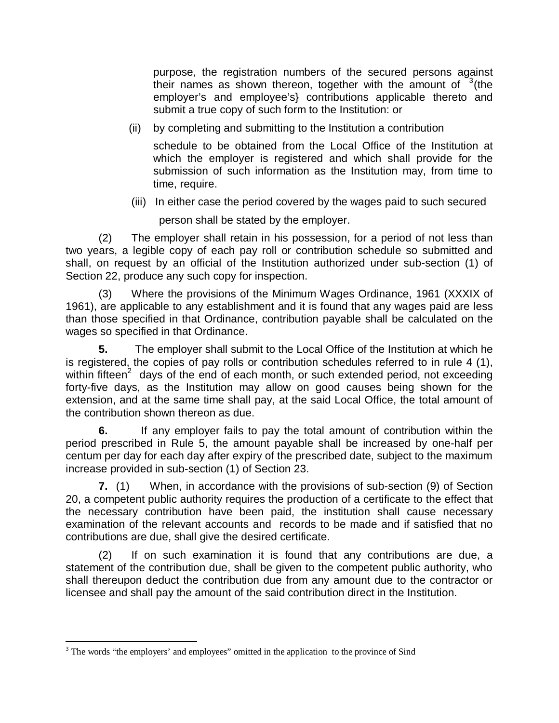purpose, the registration numbers of the secured persons against their names as shown thereon, together with the amount of  $3$ (the employer's and employee's} contributions applicable thereto and submit a true copy of such form to the Institution: or

(ii) by completing and submitting to the Institution a contribution

schedule to be obtained from the Local Office of the Institution at which the employer is registered and which shall provide for the submission of such information as the Institution may, from time to time, require.

(iii) In either case the period covered by the wages paid to such secured

person shall be stated by the employer.

(2) The employer shall retain in his possession, for a period of not less than two years, a legible copy of each pay roll or contribution schedule so submitted and shall, on request by an official of the Institution authorized under sub-section (1) of Section 22, produce any such copy for inspection.

(3) Where the provisions of the Minimum Wages Ordinance, 1961 (XXXIX of 1961), are applicable to any establishment and it is found that any wages paid are less than those specified in that Ordinance, contribution payable shall be calculated on the wages so specified in that Ordinance.

**5.** The employer shall submit to the Local Office of the Institution at which he is registered, the copies of pay rolls or contribution schedules referred to in rule 4 (1), within fifteen<sup>2</sup> days of the end of each month, or such extended period, not exceeding forty-five days, as the Institution may allow on good causes being shown for the extension, and at the same time shall pay, at the said Local Office, the total amount of the contribution shown thereon as due.

**6.** If any employer fails to pay the total amount of contribution within the period prescribed in Rule 5, the amount payable shall be increased by one-half per centum per day for each day after expiry of the prescribed date, subject to the maximum increase provided in sub-section (1) of Section 23.

**7.** (1)When, in accordance with the provisions of sub-section (9) of Section 20, a competent public authority requires the production of a certificate to the effect that the necessary contribution have been paid, the institution shall cause necessary examination of the relevant accounts and records to be made and if satisfied that no contributions are due, shall give the desired certificate.

(2) If on such examination it is found that any contributions are due, a statement of the contribution due, shall be given to the competent public authority, who shall thereupon deduct the contribution due from any amount due to the contractor or licensee and shall pay the amount of the said contribution direct in the Institution.

 $\overline{a}$ <sup>3</sup> The words "the employers' and employees" omitted in the application to the province of Sind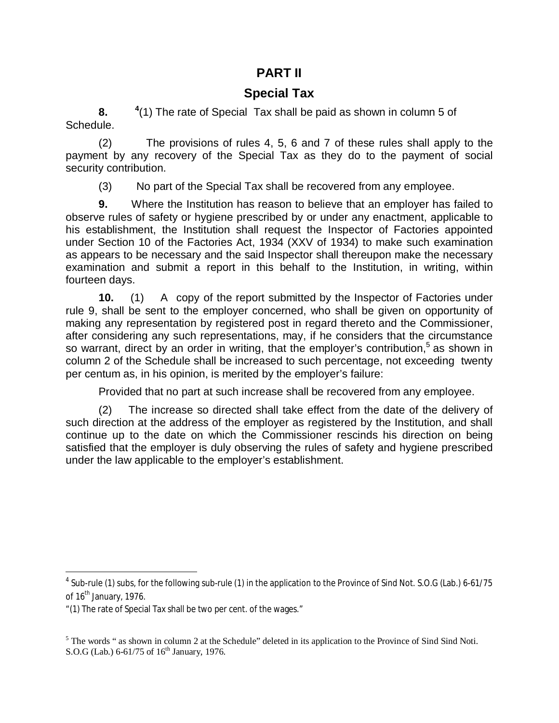#### **PART II**

### **Special Tax**

**8. <sup>4</sup>**  $(1)$  The rate of Special Tax shall be paid as shown in column 5 of Schedule.

(2) The provisions of rules 4, 5, 6 and 7 of these rules shall apply to the payment by any recovery of the Special Tax as they do to the payment of social security contribution.

(3) No part of the Special Tax shall be recovered from any employee.

**9.** Where the Institution has reason to believe that an employer has failed to observe rules of safety or hygiene prescribed by or under any enactment, applicable to his establishment, the Institution shall request the Inspector of Factories appointed under Section 10 of the Factories Act, 1934 (XXV of 1934) to make such examination as appears to be necessary and the said Inspector shall thereupon make the necessary examination and submit a report in this behalf to the Institution, in writing, within fourteen days.

**10.** (1)Acopy of the report submitted by the Inspector of Factories under rule 9, shall be sent to the employer concerned, who shall be given on opportunity of making any representation by registered post in regard thereto and the Commissioner, after considering any such representations, may, if he considers that the circumstance so warrant, direct by an order in writing, that the employer's contribution,<sup>5</sup> as shown in column 2 of the Schedule shall be increased to such percentage, not exceeding twenty per centum as, in his opinion, is merited by the employer's failure:

Provided that no part at such increase shall be recovered from any employee.

(2) The increase so directed shall take effect from the date of the delivery of such direction at the address of the employer as registered by the Institution, and shall continue up to the date on which the Commissioner rescinds his direction on being satisfied that the employer is duly observing the rules of safety and hygiene prescribed under the law applicable to the employer's establishment.

 4 Sub-rule (1) subs, for the following sub-rule (1) in the application to the Province of Sind Not. S.O.G (Lab.) 6-61/75 of  $16<sup>th</sup>$  January, 1976.

<sup>&</sup>quot;(1) The rate of Special Tax shall be two per cent. of the wages."

 $<sup>5</sup>$  The words " as shown in column 2 at the Schedule" deleted in its application to the Province of Sind Sind Noti.</sup> S.O.G (Lab.)  $6-61/75$  of  $16<sup>th</sup>$  January, 1976.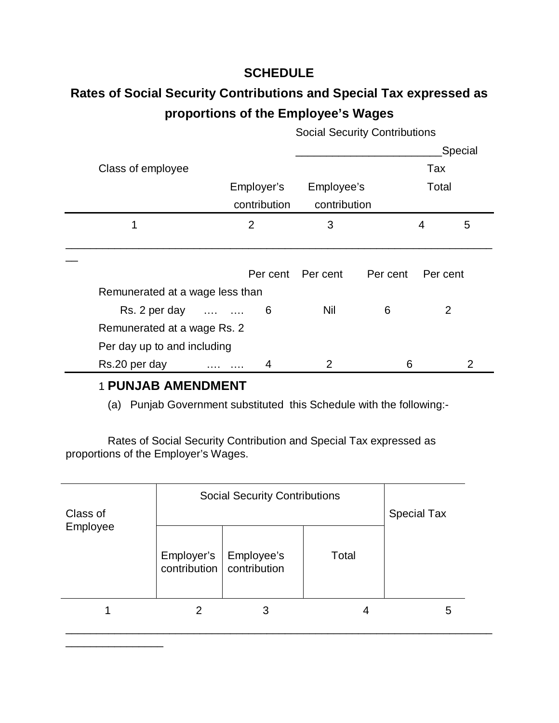### **SCHEDULE**

## **Rates of Social Security Contributions and Special Tax expressed as proportions of the Employee's Wages**

|                                 |                |              |              |          |       | Special  |  |
|---------------------------------|----------------|--------------|--------------|----------|-------|----------|--|
| Class of employee               |                |              |              |          |       | Tax      |  |
|                                 | Employer's     |              | Employee's   |          | Total |          |  |
|                                 |                | contribution | contribution |          |       |          |  |
|                                 | $\overline{2}$ |              | 3            |          | 4     | 5        |  |
|                                 |                |              |              |          |       |          |  |
|                                 |                |              |              |          |       |          |  |
|                                 |                | Per cent     | Per cent     | Per cent |       | Per cent |  |
| Remunerated at a wage less than |                |              |              |          |       |          |  |
| Rs. 2 per day                   |                | 6            | Nil          | 6        |       | 2        |  |
| Remunerated at a wage Rs. 2     |                |              |              |          |       |          |  |
| Per day up to and including     |                |              |              |          |       |          |  |
| Rs.20 per day                   |                | 4            | 2            | 6        |       |          |  |

Social Security Contributions

### 1 **PUNJAB AMENDMENT**

\_\_\_\_\_\_\_\_\_\_\_\_\_\_\_\_

(a) Punjab Government substituted this Schedule with the following:-

 Rates of Social Security Contribution and Special Tax expressed as proportions of the Employer's Wages.

| Class of<br>Employee | <b>Social Security Contributions</b>    | <b>Special Tax</b> |       |   |
|----------------------|-----------------------------------------|--------------------|-------|---|
|                      | Employer's<br>contribution contribution | Employee's         | Total |   |
|                      |                                         |                    |       | h |

\_\_\_\_\_\_\_\_\_\_\_\_\_\_\_\_\_\_\_\_\_\_\_\_\_\_\_\_\_\_\_\_\_\_\_\_\_\_\_\_\_\_\_\_\_\_\_\_\_\_\_\_\_\_\_\_\_\_\_\_\_\_\_\_\_\_\_\_\_\_